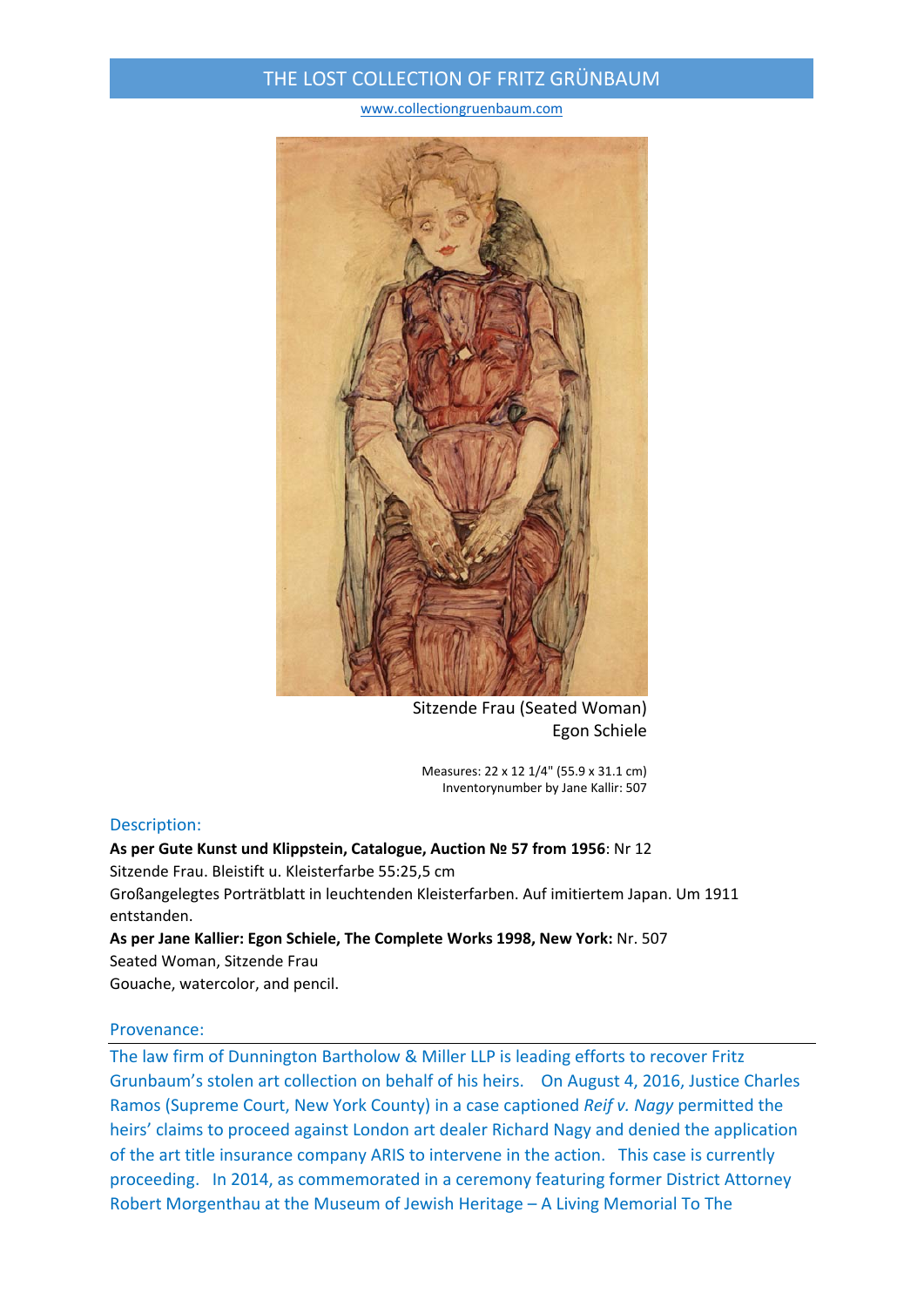# THE LOST COLLECTION OF FRITZ GRÜNBAUM

www.collectiongruenbaum.com



Sitzende Frau (Seated Woman) Egon Schiele

Measures: 22 x 12 1/4" (55.9 x 31.1 cm) Inventorynumber by Jane Kallir: 507

## Description:

## **As per Gute Kunst und Klippstein, Catalogue, Auction № 57 from 1956**: Nr 12 Sitzende Frau. Bleistift u. Kleisterfarbe 55:25,5 cm

Großangelegtes Porträtblatt in leuchtenden Kleisterfarben. Auf imitiertem Japan. Um 1911 entstanden.

**As per Jane Kallier: Egon Schiele, The Complete Works 1998, New York:** Nr. 507

Seated Woman, Sitzende Frau Gouache, watercolor, and pencil.

### Provenance:

The law firm of Dunnington Bartholow & Miller LLP is leading efforts to recover Fritz Grunbaum's stolen art collection on behalf of his heirs. On August 4, 2016, Justice Charles Ramos (Supreme Court, New York County) in a case captioned *Reif v. Nagy* permitted the heirs' claims to proceed against London art dealer Richard Nagy and denied the application of the art title insurance company ARIS to intervene in the action. This case is currently proceeding. In 2014, as commemorated in a ceremony featuring former District Attorney Robert Morgenthau at the Museum of Jewish Heritage – A Living Memorial To The